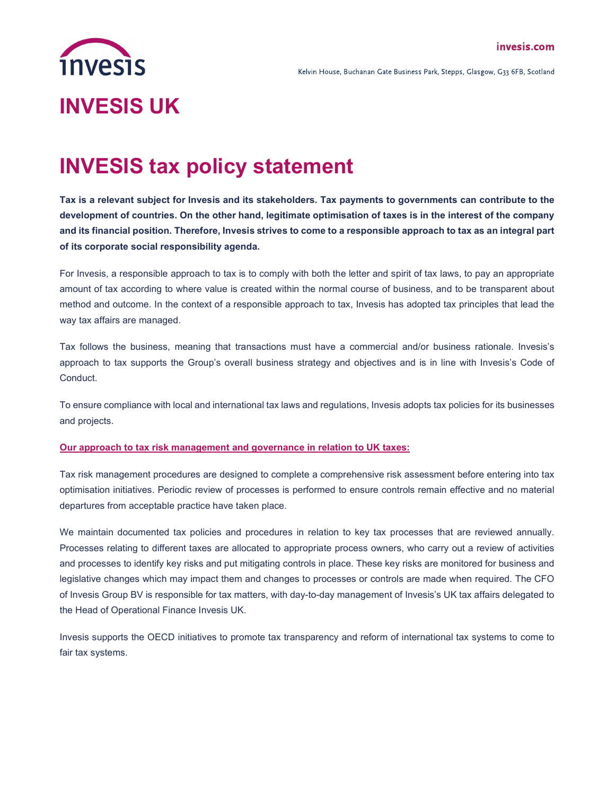

Kelvin House, Buchanan Gate Business Park, Stepps, Glasgow, G33 6FB, Scotland

## INVESIS tax policy statement

Tax is a relevant subject for Invesis and its stakeholders. Tax payments to governments can contribute to the development of countries. On the other hand, legitimate optimisation of taxes is in the interest of the company and its financial position. Therefore, Invesis strives to come to a responsible approach to tax as an integral part of its corporate social responsibility agenda.

For Invesis, a responsible approach to tax is to comply with both the letter and spirit of tax laws, to pay an appropriate amount of tax according to where value is created within the normal course of business, and to be transparent about method and outcome. In the context of a responsible approach to tax, Invesis has adopted tax principles that lead the way tax affairs are managed.

Tax follows the business, meaning that transactions must have a commercial and/or business rationale. Invesis's approach to tax supports the Group's overall business strategy and objectives and is in line with Invesis's Code of Conduct.

To ensure compliance with local and international tax laws and regulations, Invesis adopts tax policies for its businesses and projects.

## Our approach to tax risk management and governance in relation to UK taxes:

Tax risk management procedures are designed to complete a comprehensive risk assessment before entering into tax optimisation initiatives. Periodic review of processes is performed to ensure controls remain effective and no material departures from acceptable practice have taken place.

We maintain documented tax policies and procedures in relation to key tax processes that are reviewed annually. Processes relating to different taxes are allocated to appropriate process owners, who carry out a review of activities and processes to identify key risks and put mitigating controls in place. These key risks are monitored for business and legislative changes which may impact them and changes to processes or controls are made when required. The CFO of Invesis Group BV is responsible for tax matters, with day-to-day management of Invesis's UK tax affairs delegated to the Head of Operational Finance Invesis UK.

Invesis supports the OECD initiatives to promote tax transparency and reform of international tax systems to come to fair tax systems.